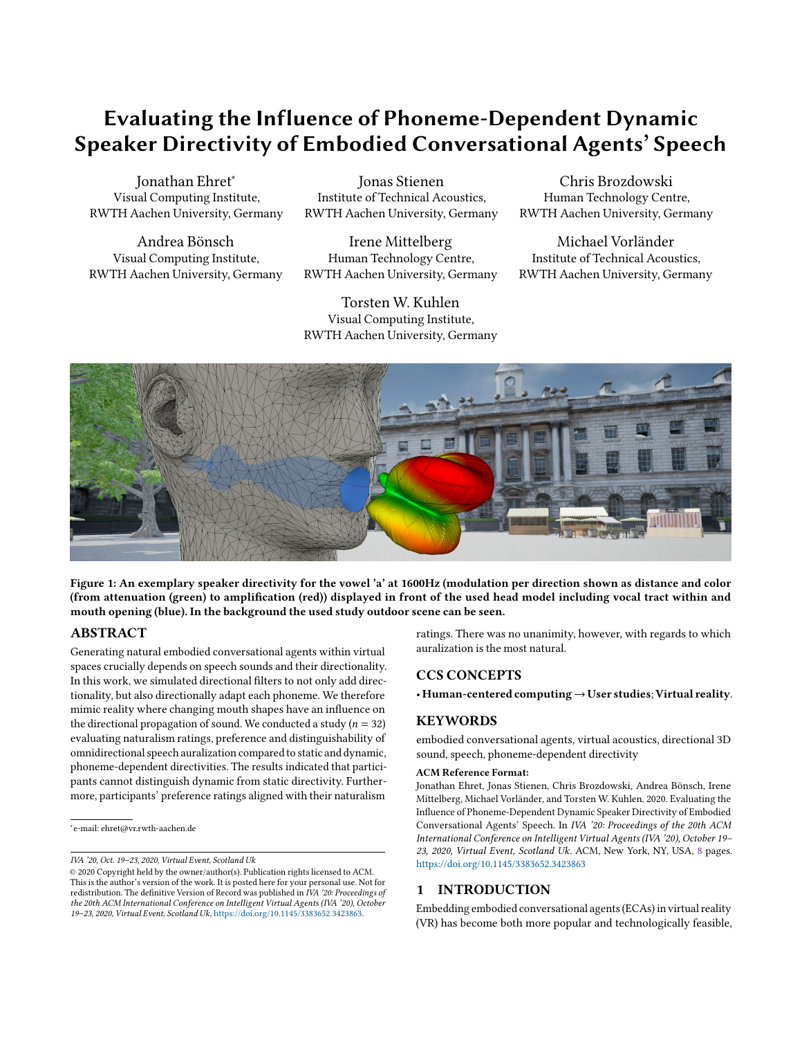# Evaluating the Influence of Phoneme-Dependent Dynamic Speaker Directivity of Embodied Conversational Agents' Speech

Jonathan Ehret<sup>∗</sup> Visual Computing Institute, RWTH Aachen University, Germany

Andrea Bönsch Visual Computing Institute, RWTH Aachen University, Germany

Jonas Stienen Institute of Technical Acoustics, RWTH Aachen University, Germany

Irene Mittelberg Human Technology Centre, RWTH Aachen University, Germany

Torsten W. Kuhlen Visual Computing Institute, RWTH Aachen University, Germany

Chris Brozdowski Human Technology Centre, RWTH Aachen University, Germany

Michael Vorländer Institute of Technical Acoustics, RWTH Aachen University, Germany



Figure 1: An exemplary speaker directivity for the vowel 'a' at 1600Hz (modulation per direction shown as distance and color (from attenuation (green) to amplification (red)) displayed in front of the used head model including vocal tract within and mouth opening (blue). In the background the used study outdoor scene can be seen.

### ABSTRACT

Generating natural embodied conversational agents within virtual spaces crucially depends on speech sounds and their directionality. In this work, we simulated directional filters to not only add directionality, but also directionally adapt each phoneme. We therefore mimic reality where changing mouth shapes have an influence on the directional propagation of sound. We conducted a study ( $n = 32$ ) evaluating naturalism ratings, preference and distinguishability of omnidirectional speech auralization compared to static and dynamic, phoneme-dependent directivities. The results indicated that participants cannot distinguish dynamic from static directivity. Furthermore, participants' preference ratings aligned with their naturalism

ratings. There was no unanimity, however, with regards to which auralization is the most natural.

# CCS CONCEPTS

• Human-centered computing→User studies; Virtual reality.

# **KEYWORDS**

embodied conversational agents, virtual acoustics, directional 3D sound, speech, phoneme-dependent directivity

#### ACM Reference Format:

Jonathan Ehret, Jonas Stienen, Chris Brozdowski, Andrea Bönsch, Irene Mittelberg, Michael Vorländer, and Torsten W. Kuhlen. 2020. Evaluating the Influence of Phoneme-Dependent Dynamic Speaker Directivity of Embodied Conversational Agents' Speech. In *IVA '20: Proceedings of the 20th ACM International Conference on Intelligent Virtual Agents (IVA '20), October 19– 23, 2020, Virtual Event, Scotland Uk.* ACM, New York, NY, USA, [8](#page-7-0) pages. <https://doi.org/10.1145/3383652.3423863>

#### 1 INTRODUCTION

Embedding embodied conversational agents (ECAs) in virtual reality (VR) has become both more popular and technologically feasible,

<sup>∗</sup> e-mail: ehret@vr.rwth-aachen.de

*IVA '20, Oct. 19–23, 2020, Virtual Event, Scotland Uk*

<sup>©</sup> 2020 Copyright held by the owner/author(s). Publication rights licensed to ACM. This is the author's version of the work. It is posted here for your personal use. Not for redistribution. The definitive Version of Record was published in *IVA '20: Proceedings of the 20th ACM International Conference on Intelligent Virtual Agents (IVA '20), October 19–23, 2020, Virtual Event, Scotland Uk*, [https://doi.org/10.1145/3383652.3423863.](https://doi.org/10.1145/3383652.3423863)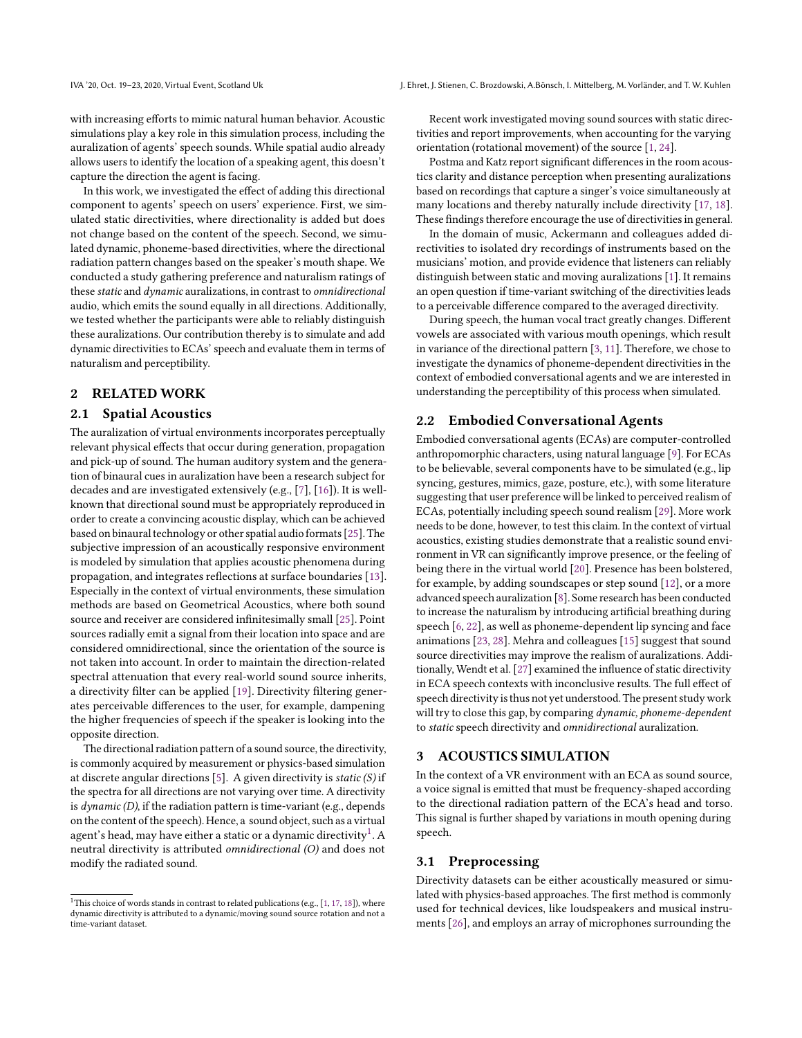with increasing efforts to mimic natural human behavior. Acoustic simulations play a key role in this simulation process, including the auralization of agents' speech sounds. While spatial audio already allows users to identify the location of a speaking agent, this doesn't capture the direction the agent is facing.

In this work, we investigated the effect of adding this directional component to agents' speech on users' experience. First, we simulated static directivities, where directionality is added but does not change based on the content of the speech. Second, we simulated dynamic, phoneme-based directivities, where the directional radiation pattern changes based on the speaker's mouth shape. We conducted a study gathering preference and naturalism ratings of these *static* and *dynamic* auralizations, in contrast to *omnidirectional* audio, which emits the sound equally in all directions. Additionally, we tested whether the participants were able to reliably distinguish these auralizations. Our contribution thereby is to simulate and add dynamic directivities to ECAs' speech and evaluate them in terms of naturalism and perceptibility.

# 2 RELATED WORK

#### 2.1 Spatial Acoustics

The auralization of virtual environments incorporates perceptually relevant physical effects that occur during generation, propagation and pick-up of sound. The human auditory system and the generation of binaural cues in auralization have been a research subject for decades and are investigated extensively (e.g., [\[7\]](#page-7-1), [\[16\]](#page-7-2)). It is wellknown that directional sound must be appropriately reproduced in order to create a convincing acoustic display, which can be achieved based on binaural technology or other spatial audio formats [\[25\]](#page-7-3). The subjective impression of an acoustically responsive environment is modeled by simulation that applies acoustic phenomena during propagation, and integrates reflections at surface boundaries [\[13\]](#page-7-4). Especially in the context of virtual environments, these simulation methods are based on Geometrical Acoustics, where both sound source and receiver are considered infinitesimally small [\[25\]](#page-7-3). Point sources radially emit a signal from their location into space and are considered omnidirectional, since the orientation of the source is not taken into account. In order to maintain the direction-related spectral attenuation that every real-world sound source inherits, a directivity filter can be applied [\[19\]](#page-7-5). Directivity filtering generates perceivable differences to the user, for example, dampening the higher frequencies of speech if the speaker is looking into the opposite direction.

The directional radiation pattern of a sound source, the directivity, is commonly acquired by measurement or physics-based simulation at discrete angular directions [\[5\]](#page-7-6). A given directivity is *static (S)* if the spectra for all directions are not varying over time. A directivity is *dynamic (D)*, if the radiation pattern is time-variant (e.g., depends on the content of the speech). Hence, a sound object, such as a virtual agent's head, may have either a static or a dynamic directivity $^1$  $^1$ . A neutral directivity is attributed *omnidirectional (O)* and does not modify the radiated sound.

Recent work investigated moving sound sources with static directivities and report improvements, when accounting for the varying orientation (rotational movement) of the source [\[1,](#page-7-7) [24\]](#page-7-10).

Postma and Katz report significant differences in the room acoustics clarity and distance perception when presenting auralizations based on recordings that capture a singer's voice simultaneously at many locations and thereby naturally include directivity [\[17,](#page-7-8) [18\]](#page-7-9). These findings therefore encourage the use of directivities in general.

In the domain of music, Ackermann and colleagues added directivities to isolated dry recordings of instruments based on the musicians' motion, and provide evidence that listeners can reliably distinguish between static and moving auralizations [\[1\]](#page-7-7). It remains an open question if time-variant switching of the directivities leads to a perceivable difference compared to the averaged directivity.

During speech, the human vocal tract greatly changes. Different vowels are associated with various mouth openings, which result in variance of the directional pattern [\[3,](#page-7-11) [11\]](#page-7-12). Therefore, we chose to investigate the dynamics of phoneme-dependent directivities in the context of embodied conversational agents and we are interested in understanding the perceptibility of this process when simulated.

#### 2.2 Embodied Conversational Agents

Embodied conversational agents (ECAs) are computer-controlled anthropomorphic characters, using natural language [\[9\]](#page-7-13). For ECAs to be believable, several components have to be simulated (e.g., lip syncing, gestures, mimics, gaze, posture, etc.), with some literature suggesting that user preference will be linked to perceived realism of ECAs, potentially including speech sound realism [\[29\]](#page-7-14). More work needs to be done, however, to test this claim. In the context of virtual acoustics, existing studies demonstrate that a realistic sound environment in VR can significantly improve presence, or the feeling of being there in the virtual world [\[20\]](#page-7-15). Presence has been bolstered, for example, by adding soundscapes or step sound [\[12\]](#page-7-16), or a more advanced speech auralization [\[8\]](#page-7-17). Some research has been conducted to increase the naturalism by introducing artificial breathing during speech [\[6,](#page-7-18) [22\]](#page-7-19), as well as phoneme-dependent lip syncing and face animations [\[23,](#page-7-20) [28\]](#page-7-21). Mehra and colleagues [\[15\]](#page-7-22) suggest that sound source directivities may improve the realism of auralizations. Additionally, Wendt et al. [\[27\]](#page-7-23) examined the influence of static directivity in ECA speech contexts with inconclusive results. The full effect of speech directivity is thus not yet understood. The present study work will try to close this gap, by comparing *dynamic, phoneme-dependent* to *static* speech directivity and *omnidirectional* auralization.

# 3 ACOUSTICS SIMULATION

In the context of a VR environment with an ECA as sound source, a voice signal is emitted that must be frequency-shaped according to the directional radiation pattern of the ECA's head and torso. This signal is further shaped by variations in mouth opening during speech.

#### 3.1 Preprocessing

Directivity datasets can be either acoustically measured or simulated with physics-based approaches. The first method is commonly used for technical devices, like loudspeakers and musical instruments [\[26\]](#page-7-24), and employs an array of microphones surrounding the

<span id="page-1-0"></span> $^1$  This choice of words stands in contrast to related publications (e.g.,  $[1, 17, 18]$  $[1, 17, 18]$  $[1, 17, 18]$  $[1, 17, 18]$ ), where dynamic directivity is attributed to a dynamic/moving sound source rotation and not a time-variant dataset.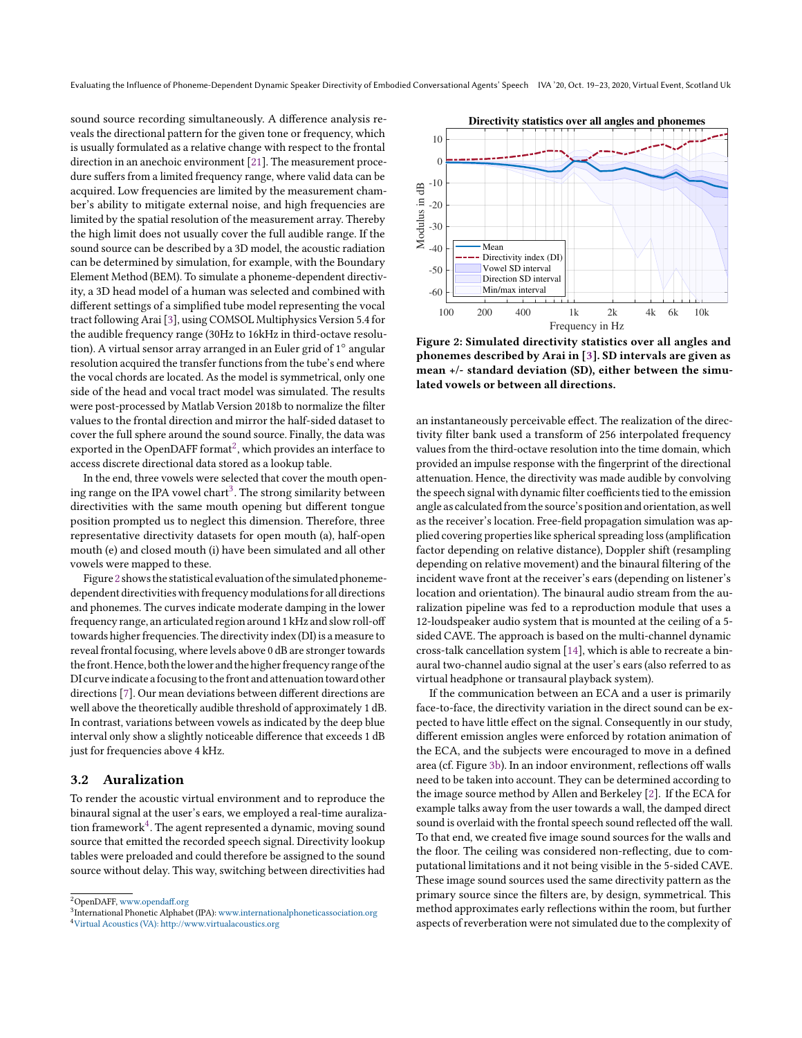Evaluating the Influence of Phoneme-Dependent Dynamic Speaker Directivity of Embodied Conversational Agents' Speech IVA '20, Oct. 19-23, 2020, Virtual Event, Scotland Uk

sound source recording simultaneously. A difference analysis reveals the directional pattern for the given tone or frequency, which is usually formulated as a relative change with respect to the frontal direction in an anechoic environment [\[21\]](#page-7-25). The measurement procedure suffers from a limited frequency range, where valid data can be acquired. Low frequencies are limited by the measurement chamber's ability to mitigate external noise, and high frequencies are limited by the spatial resolution of the measurement array. Thereby the high limit does not usually cover the full audible range. If the sound source can be described by a 3D model, the acoustic radiation can be determined by simulation, for example, with the Boundary Element Method (BEM). To simulate a phoneme-dependent directivity, a 3D head model of a human was selected and combined with different settings of a simplified tube model representing the vocal tract following Arai [\[3\]](#page-7-11), using COMSOL Multiphysics Version 5.4 for the audible frequency range (30Hz to 16kHz in third-octave resolution). A virtual sensor array arranged in an Euler grid of 1° angular resolution acquired the transfer functions from the tube's end where the vocal chords are located. As the model is symmetrical, only one side of the head and vocal tract model was simulated. The results were post-processed by Matlab Version 2018b to normalize the filter values to the frontal direction and mirror the half-sided dataset to cover the full sphere around the sound source. Finally, the data was exported in the OpenDAFF format<sup>[2](#page-2-0)</sup>, which provides an interface to access discrete directional data stored as a lookup table.

In the end, three vowels were selected that cover the mouth opening range on the IPA vowel chart $^3$  $^3$ . The strong similarity between directivities with the same mouth opening but different tongue position prompted us to neglect this dimension. Therefore, three representative directivity datasets for open mouth (a), half-open mouth (e) and closed mouth (i) have been simulated and all other vowels were mapped to these.

Figure [2](#page-2-2) shows the statistical evaluation of the simulated phonemedependent directivities with frequency modulations for all directions and phonemes. The curves indicate moderate damping in the lower frequency range, an articulated region around 1 kHz and slow roll-off towards higher frequencies. The directivity index(DI) is a measure to reveal frontal focusing, where levels above 0 dB are stronger towards the front. Hence, both thelower and the higher frequency range of the DI curve indicate a focusing to the front and attenuation toward other directions [\[7\]](#page-7-1). Our mean deviations between different directions are well above the theoretically audible threshold of approximately 1 dB. In contrast, variations between vowels as indicated by the deep blue interval only show a slightly noticeable difference that exceeds 1 dB just for frequencies above 4 kHz.

# <span id="page-2-4"></span>3.2 Auralization

To render the acoustic virtual environment and to reproduce the binaural signal at the user's ears, we employed a real-time auraliza-tion framework<sup>[4](#page-2-3)</sup>. The agent represented a dynamic, moving sound source that emitted the recorded speech signal. Directivity lookup tables were preloaded and could therefore be assigned to the sound source without delay. This way, switching between directivities had

<span id="page-2-0"></span>

<span id="page-2-1"></span><sup>&</sup>lt;sup>3</sup>International Phonetic Alphabet (IPA): [www.internationalphoneticassociation.org](https://www.internationalphoneticassociation.org/)

<span id="page-2-2"></span>

Figure 2: Simulated directivity statistics over all angles and phonemes described by Arai in [\[3\]](#page-7-11). SD intervals are given as mean +/- standard deviation (SD), either between the simulated vowels or between all directions.

an instantaneously perceivable effect. The realization of the directivity filter bank used a transform of 256 interpolated frequency values from the third-octave resolution into the time domain, which provided an impulse response with the fingerprint of the directional attenuation. Hence, the directivity was made audible by convolving the speech signal with dynamic filter coefficients tied to the emission angle as calculated from the source's position and orientation, as well as the receiver's location. Free-field propagation simulation was applied covering properties like spherical spreading loss (amplification factor depending on relative distance), Doppler shift (resampling depending on relative movement) and the binaural filtering of the incident wave front at the receiver's ears (depending on listener's location and orientation). The binaural audio stream from the auralization pipeline was fed to a reproduction module that uses a 12-loudspeaker audio system that is mounted at the ceiling of a 5 sided CAVE. The approach is based on the multi-channel dynamic cross-talk cancellation system [\[14\]](#page-7-26), which is able to recreate a binaural two-channel audio signal at the user's ears (also referred to as virtual headphone or transaural playback system).

If the communication between an ECA and a user is primarily face-to-face, the directivity variation in the direct sound can be expected to have little effect on the signal. Consequently in our study, different emission angles were enforced by rotation animation of the ECA, and the subjects were encouraged to move in a defined area (cf. Figure [3b\)](#page-3-0). In an indoor environment, reflections off walls need to be taken into account. They can be determined according to the image source method by Allen and Berkeley [\[2\]](#page-7-27). If the ECA for example talks away from the user towards a wall, the damped direct sound is overlaid with the frontal speech sound reflected off the wall. To that end, we created five image sound sources for the walls and the floor. The ceiling was considered non-reflecting, due to computational limitations and it not being visible in the 5-sided CAVE. These image sound sources used the same directivity pattern as the primary source since the filters are, by design, symmetrical. This method approximates early reflections within the room, but further aspects of reverberation were not simulated due to the complexity of

<span id="page-2-3"></span><sup>4</sup>[Virtual Acoustics \(VA\): http://www.virtualacoustics.org](http://www.virtualacoustics.org)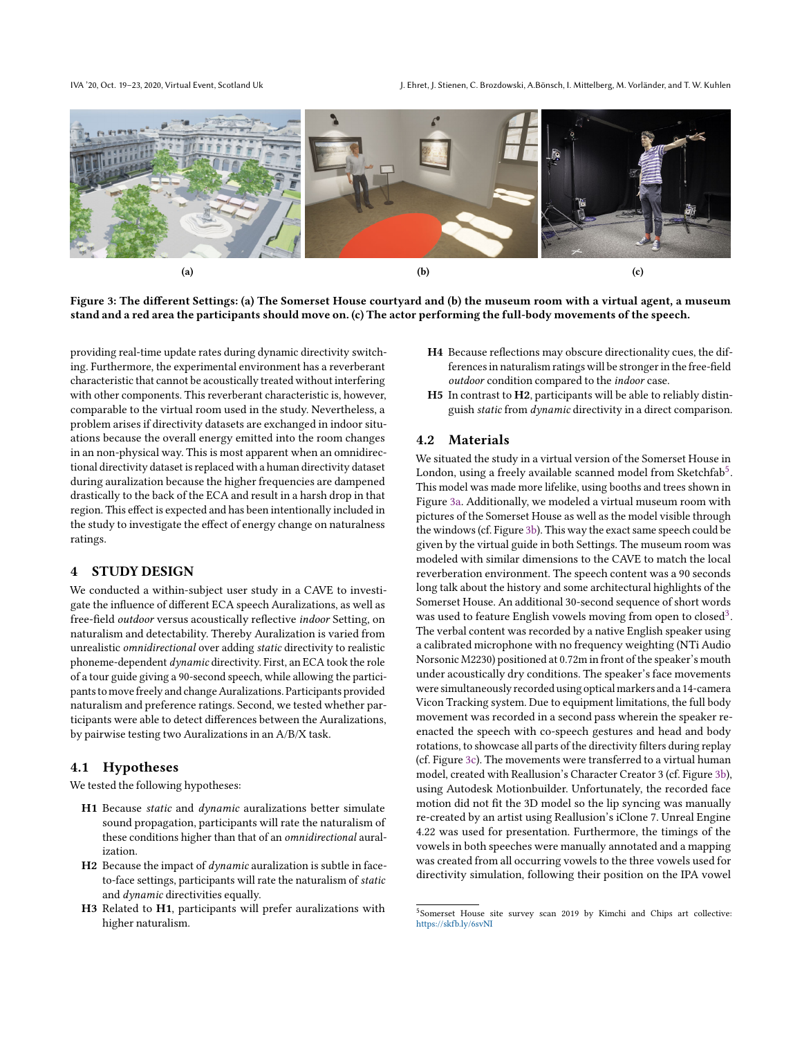<span id="page-3-0"></span>

Figure 3: The different Settings: (a) The Somerset House courtyard and (b) the museum room with a virtual agent, a museum stand and a red area the participants should move on. (c) The actor performing the full-body movements of the speech.

providing real-time update rates during dynamic directivity switching. Furthermore, the experimental environment has a reverberant characteristic that cannot be acoustically treated without interfering with other components. This reverberant characteristic is, however, comparable to the virtual room used in the study. Nevertheless, a problem arises if directivity datasets are exchanged in indoor situations because the overall energy emitted into the room changes in an non-physical way. This is most apparent when an omnidirectional directivity dataset is replaced with a human directivity dataset during auralization because the higher frequencies are dampened drastically to the back of the ECA and result in a harsh drop in that region. This effect is expected and has been intentionally included in the study to investigate the effect of energy change on naturalness ratings.

### 4 STUDY DESIGN

We conducted a within-subject user study in a CAVE to investigate the influence of different ECA speech Auralizations, as well as free-field *outdoor* versus acoustically reflective *indoor* Setting, on naturalism and detectability. Thereby Auralization is varied from unrealistic *omnidirectional* over adding *static* directivity to realistic phoneme-dependent *dynamic* directivity. First, an ECA took the role of a tour guide giving a 90-second speech, while allowing the participants to move freely and change Auralizations. Participants provided naturalism and preference ratings. Second, we tested whether participants were able to detect differences between the Auralizations, by pairwise testing two Auralizations in an A/B/X task.

#### 4.1 Hypotheses

We tested the following hypotheses:

- H1 Because *static* and *dynamic* auralizations better simulate sound propagation, participants will rate the naturalism of these conditions higher than that of an *omnidirectional* auralization.
- H2 Because the impact of *dynamic* auralization is subtle in faceto-face settings, participants will rate the naturalism of *static* and *dynamic* directivities equally.
- H3 Related to H1, participants will prefer auralizations with higher naturalism.
- H4 Because reflections may obscure directionality cues, the differences in naturalism ratings will be stronger in the free-field *outdoor* condition compared to the *indoor* case.
- H5 In contrast to H2, participants will be able to reliably distinguish *static* from *dynamic* directivity in a direct comparison.

### 4.2 Materials

We situated the study in a virtual version of the Somerset House in London, using a freely available scanned model from Sketchfab $^5$  $^5$ . This model was made more lifelike, using booths and trees shown in Figure [3a.](#page-3-0) Additionally, we modeled a virtual museum room with pictures of the Somerset House as well as the model visible through the windows (cf. Figure [3b\)](#page-3-0). This way the exact same speech could be given by the virtual guide in both Settings. The museum room was modeled with similar dimensions to the CAVE to match the local reverberation environment. The speech content was a 90 seconds long talk about the history and some architectural highlights of the Somerset House. An additional 30-second sequence of short words was used to feature English vowels moving from open to closed<sup>[3](#page-2-1)</sup>. The verbal content was recorded by a native English speaker using a calibrated microphone with no frequency weighting (NTi Audio Norsonic M2230) positioned at 0.72m in front of the speaker's mouth under acoustically dry conditions. The speaker's face movements were simultaneously recorded using optical markers and a 14-camera Vicon Tracking system. Due to equipment limitations, the full body movement was recorded in a second pass wherein the speaker reenacted the speech with co-speech gestures and head and body rotations, to showcase all parts of the directivity filters during replay (cf. Figure [3c\)](#page-3-0). The movements were transferred to a virtual human model, created with Reallusion's Character Creator 3 (cf. Figure [3b\)](#page-3-0), using Autodesk Motionbuilder. Unfortunately, the recorded face motion did not fit the 3D model so the lip syncing was manually re-created by an artist using Reallusion's iClone 7. Unreal Engine 4.22 was used for presentation. Furthermore, the timings of the vowels in both speeches were manually annotated and a mapping was created from all occurring vowels to the three vowels used for directivity simulation, following their position on the IPA vowel

<span id="page-3-1"></span><sup>&</sup>lt;sup>5</sup>Somerset House site survey scan 2019 by Kimchi and Chips art collective: <https://skfb.ly/6svNI>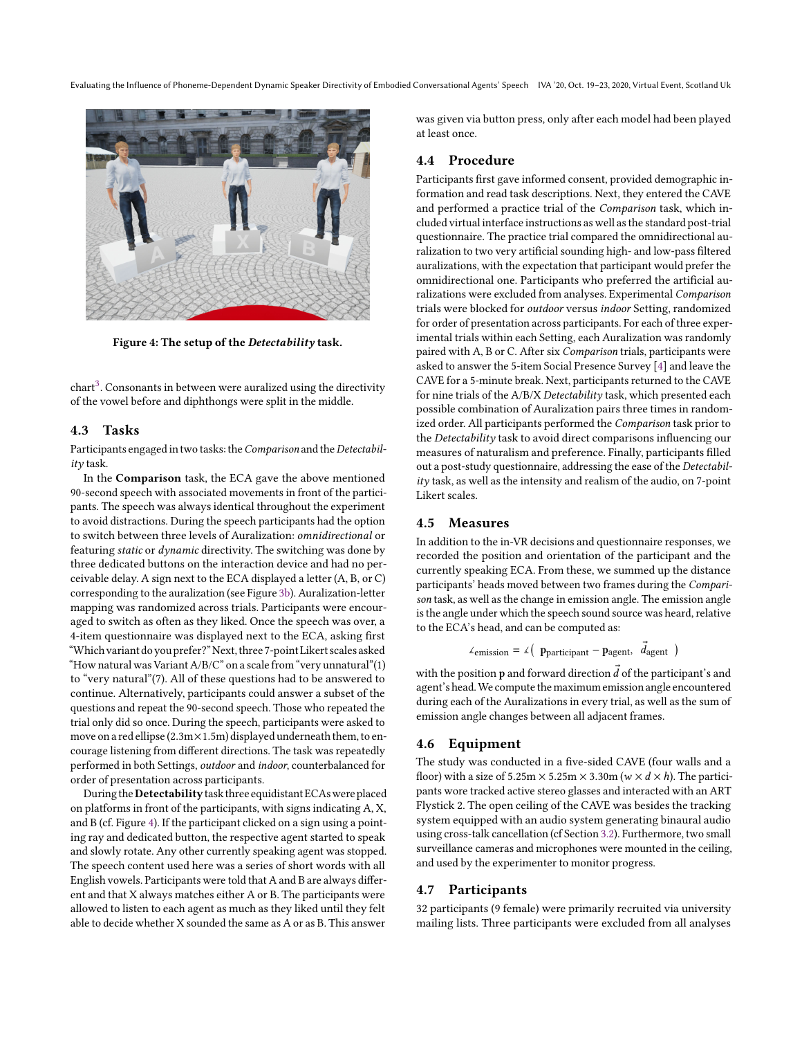Evaluating the Influence of Phoneme-Dependent Dynamic Speaker Directivity of Embodied Conversational Agents' Speech IVA '20, Oct. 19-23, 2020, Virtual Event, Scotland Uk

<span id="page-4-0"></span>

Figure 4: The setup of the Detectability task.

 $\text{chart}^3$  $\text{chart}^3$ . Consonants in between were auralized using the directivity of the vowel before and diphthongs were split in the middle.

#### 4.3 Tasks

Participants engaged in two tasks: the*Comparison* and the*Detectability* task.

In the Comparison task, the ECA gave the above mentioned 90-second speech with associated movements in front of the participants. The speech was always identical throughout the experiment to avoid distractions. During the speech participants had the option to switch between three levels of Auralization: *omnidirectional* or featuring *static* or *dynamic* directivity. The switching was done by three dedicated buttons on the interaction device and had no perceivable delay. A sign next to the ECA displayed a letter (A, B, or C) corresponding to the auralization (see Figure [3b\)](#page-3-0). Auralization-letter mapping was randomized across trials. Participants were encouraged to switch as often as they liked. Once the speech was over, a 4-item questionnaire was displayed next to the ECA, asking first łWhichvariant do you prefer?žNext, three 7-point Likert scales asked "How natural was Variant  $A/B/C$ " on a scale from "very unnatural" $(1)$ to "very natural"(7). All of these questions had to be answered to continue. Alternatively, participants could answer a subset of the questions and repeat the 90-second speech. Those who repeated the trial only did so once. During the speech, participants were asked to move on a red ellipse (2.3m $\times$ 1.5m) displayed underneath them, to encourage listening from different directions. The task was repeatedly performed in both Settings, *outdoor* and *indoor*, counterbalanced for order of presentation across participants.

During the Detectability task three equidistant ECAs were placed on platforms in front of the participants, with signs indicating A, X, and B (cf. Figure [4\)](#page-4-0). If the participant clicked on a sign using a pointing ray and dedicated button, the respective agent started to speak and slowly rotate. Any other currently speaking agent was stopped. The speech content used here was a series of short words with all English vowels. Participants were told that A and B are always different and that X always matches either A or B. The participants were allowed to listen to each agent as much as they liked until they felt able to decide whether X sounded the same as A or as B. This answer

was given via button press, only after each model had been played at least once.

# 4.4 Procedure

Participants first gave informed consent, provided demographic information and read task descriptions. Next, they entered the CAVE and performed a practice trial of the *Comparison* task, which included virtual interface instructions as well as the standard post-trial questionnaire. The practice trial compared the omnidirectional auralization to two very artificial sounding high- and low-pass filtered auralizations, with the expectation that participant would prefer the omnidirectional one. Participants who preferred the artificial auralizations were excluded from analyses. Experimental *Comparison* trials were blocked for *outdoor* versus *indoor* Setting, randomized for order of presentation across participants. For each of three experimental trials within each Setting, each Auralization was randomly paired with A, B or C. After six *Comparison* trials, participants were asked to answer the 5-item Social Presence Survey [\[4\]](#page-7-28) and leave the CAVE for a 5-minute break. Next, participants returned to the CAVE for nine trials of the A/B/X *Detectability* task, which presented each possible combination of Auralization pairs three times in randomized order. All participants performed the *Comparison* task prior to the *Detectability* task to avoid direct comparisons influencing our measures of naturalism and preference. Finally, participants filled out a post-study questionnaire, addressing the ease of the *Detectability* task, as well as the intensity and realism of the audio, on 7-point Likert scales.

### 4.5 Measures

In addition to the in-VR decisions and questionnaire responses, we recorded the position and orientation of the participant and the currently speaking ECA. From these, we summed up the distance participants' heads moved between two frames during the *Comparison* task, as well as the change in emission angle. The emission angle is the angle under which the speech sound source was heard, relative to the ECA's head, and can be computed as:

$$
\angle
$$
emission =  $\angle$  (p  
participant - p<sub>agent</sub>,  $\vec{d}_{agent}$ )

with the position  $p$  and forward direction  $\vec{d}$  of the participant's and agent's head.We compute the maximum emission angle encountered during each of the Auralizations in every trial, as well as the sum of emission angle changes between all adjacent frames.

#### 4.6 Equipment

The study was conducted in a five-sided CAVE (four walls and a floor) with a size of  $5.25m \times 5.25m \times 3.30m$  ( $w \times d \times h$ ). The participants wore tracked active stereo glasses and interacted with an ART Flystick 2. The open ceiling of the CAVE was besides the tracking system equipped with an audio system generating binaural audio using cross-talk cancellation (cf Section [3.2\)](#page-2-4). Furthermore, two small surveillance cameras and microphones were mounted in the ceiling, and used by the experimenter to monitor progress.

#### 4.7 Participants

32 participants (9 female) were primarily recruited via university mailing lists. Three participants were excluded from all analyses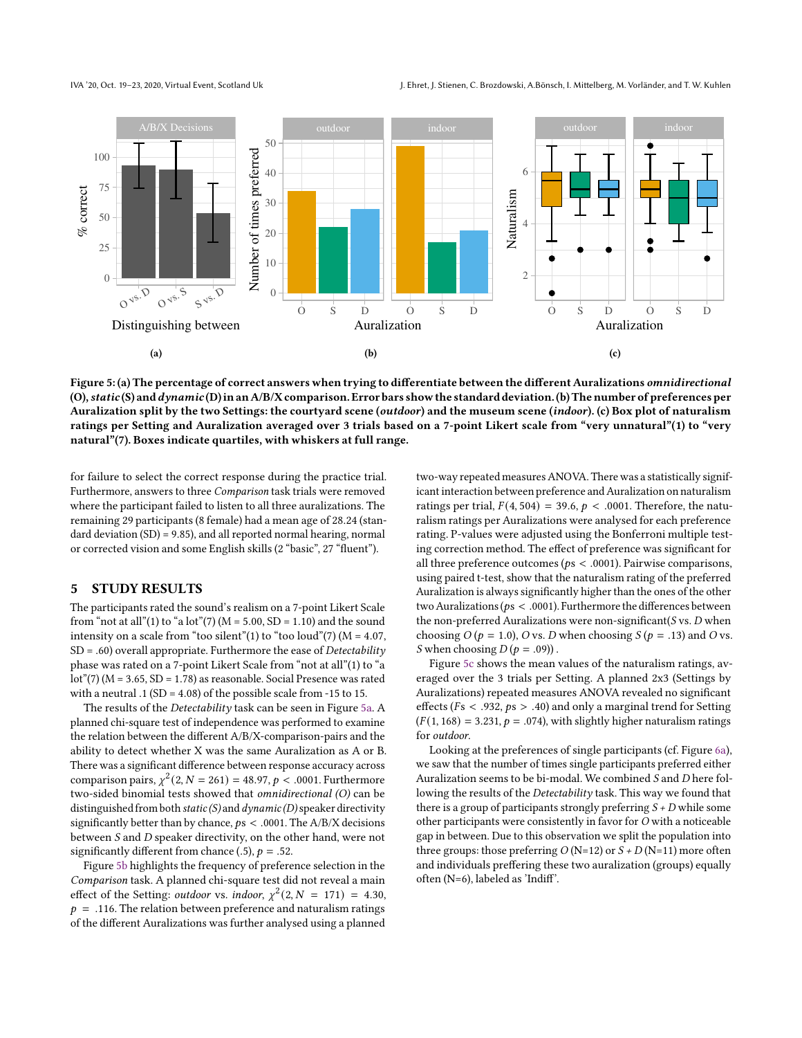IVA '20, Oct. 19-23, 2020, Virtual Event, Scotland Uk J. Ehret, J. Stienen, C. Brozdowski, A.Bönsch, I. Mittelberg, M. Vorländer, and T. W. Kuhlen

<span id="page-5-0"></span>

Figure 5: (a) The percentage of correct answers when trying to differentiate between the different Auralizations omnidirectional (O), static (S) and dynamic (D) in an A/B/X comparison. Error bars show the standard deviation. (b) The number of preferences per Auralization split by the two Settings: the courtyard scene (outdoor) and the museum scene (indoor). (c) Box plot of naturalism ratings per Setting and Auralization averaged over 3 trials based on a 7-point Likert scale from "very unnatural"(1) to "very natural"(7). Boxes indicate quartiles, with whiskers at full range.

for failure to select the correct response during the practice trial. Furthermore, answers to three *Comparison* task trials were removed where the participant failed to listen to all three auralizations. The remaining 29 participants (8 female) had a mean age of 28.24 (standard deviation (SD) = 9.85), and all reported normal hearing, normal or corrected vision and some English skills (2 "basic", 27 "fluent").

### 5 STUDY RESULTS

The participants rated the sound's realism on a 7-point Likert Scale from "not at all"(1) to "a lot"(7) ( $M = 5.00$ , SD = 1.10) and the sound intensity on a scale from "too silent"(1) to "too loud"(7) ( $M = 4.07$ , SD = .60) overall appropriate. Furthermore the ease of *Detectability* phase was rated on a 7-point Likert Scale from "not at all"(1) to "a lot"(7) ( $M = 3.65$ , SD = 1.78) as reasonable. Social Presence was rated with a neutral  $.1$  (SD = 4.08) of the possible scale from -15 to 15.

The results of the *Detectability* task can be seen in Figure [5a.](#page-5-0) A planned chi-square test of independence was performed to examine the relation between the different A/B/X-comparison-pairs and the ability to detect whether X was the same Auralization as A or B. There was a significant difference between response accuracy across comparison pairs,  $\chi^2(2, N = 261) = 48.97, p < .0001$ . Furthermore two-sided binomial tests showed that *omnidirectional (O)* can be distinguished from both *static (S)* and *dynamic (D)*speaker directivity significantly better than by chance,  $ps < .0001$ . The A/B/X decisions between *S* and *D* speaker directivity, on the other hand, were not significantly different from chance (.5),  $p = .52$ .

Figure [5b](#page-5-0) highlights the frequency of preference selection in the *Comparison* task. A planned chi-square test did not reveal a main effect of the Setting: *outdoor* vs. *indoor*,  $\chi^2(2, N = 171) = 4.30$ ,  $p = .116$ . The relation between preference and naturalism ratings of the different Auralizations was further analysed using a planned

two-way repeated measures ANOVA. There was a statistically significant interaction between preference and Auralization on naturalism ratings per trial,  $F(4, 504) = 39.6$ ,  $p < .0001$ . Therefore, the naturalism ratings per Auralizations were analysed for each preference rating. P-values were adjusted using the Bonferroni multiple testing correction method. The effect of preference was significant for all three preference outcomes ( $ps < .0001$ ). Pairwise comparisons, using paired t-test, show that the naturalism rating of the preferred Auralization is always significantly higher than the ones of the other two Auralizations ( $ps < .0001$ ). Furthermore the differences between the non-preferred Auralizations were non-significant(*S* vs. *D* when choosing  $O (p = 1.0)$ ,  $O$  vs.  $D$  when choosing  $S (p = .13)$  and  $O$  vs. *S* when choosing  $D(p = .09)$ .

Figure [5c](#page-5-0) shows the mean values of the naturalism ratings, averaged over the 3 trials per Setting. A planned 2x3 (Settings by Auralizations) repeated measures ANOVA revealed no significant effects ( $Fs < .932, ps > .40$ ) and only a marginal trend for Setting  $(F(1, 168) = 3.231, p = .074)$ , with slightly higher naturalism ratings for *outdoor*.

Looking at the preferences of single participants (cf. Figure [6a\)](#page-6-0), we saw that the number of times single participants preferred either Auralization seems to be bi-modal. We combined *S* and *D* here following the results of the *Detectability* task. This way we found that there is a group of participants strongly preferring *S + D* while some other participants were consistently in favor for *O* with a noticeable gap in between. Due to this observation we split the population into three groups: those preferring  $O(N=12)$  or  $S + D(N=11)$  more often and individuals preffering these two auralization (groups) equally often (N=6), labeled as 'Indiff'.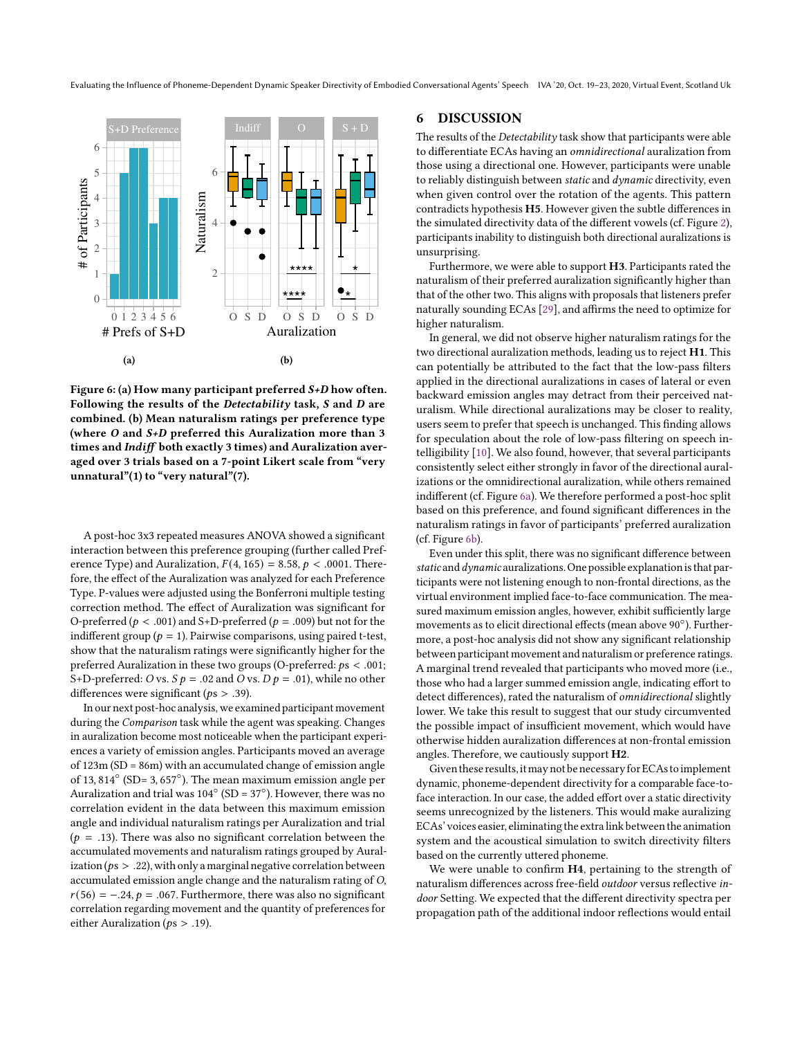Evaluating the Influence of Phoneme-Dependent Dynamic Speaker Directivity of Embodied Conversational Agents' Speech IVA '20, Oct. 19-23, 2020, Virtual Event, Scotland Uk

<span id="page-6-0"></span>

Figure 6: (a) How many participant preferred S+D how often. Following the results of the Detectability task, S and D are combined. (b) Mean naturalism ratings per preference type (where O and S+D preferred this Auralization more than 3 times and Indiff both exactly 3 times) and Auralization averaged over 3 trials based on a 7-point Likert scale from "very unnatural" $(1)$  to "very natural" $(7)$ .

A post-hoc 3x3 repeated measures ANOVA showed a significant interaction between this preference grouping (further called Preference Type) and Auralization,  $F(4, 165) = 8.58$ ,  $p < .0001$ . Therefore, the effect of the Auralization was analyzed for each Preference Type. P-values were adjusted using the Bonferroni multiple testing correction method. The effect of Auralization was significant for O-preferred ( $p < .001$ ) and S+D-preferred ( $p = .009$ ) but not for the indifferent group ( $p = 1$ ). Pairwise comparisons, using paired t-test, show that the naturalism ratings were significantly higher for the preferred Auralization in these two groups (O-preferred:  $ps < .001$ ; S+D-preferred: *O* vs. *S*  $p = .02$  and *O* vs. *D*  $p = .01$ ), while no other differences were significant ( $ps > .39$ ).

In our next post-hoc analysis, we examined participant movement during the *Comparison* task while the agent was speaking. Changes in auralization become most noticeable when the participant experiences a variety of emission angles. Participants moved an average of 123m (SD = 86m) with an accumulated change of emission angle of 13, 814◦ (SD= 3, 657◦ ). The mean maximum emission angle per Auralization and trial was  $104^\circ$  (SD = 37 $^\circ$ ). However, there was no correlation evident in the data between this maximum emission angle and individual naturalism ratings per Auralization and trial ( $p = .13$ ). There was also no significant correlation between the accumulated movements and naturalism ratings grouped by Auralization ( $ps > .22$ ), with only a marginal negative correlation between accumulated emission angle change and the naturalism rating of *O*,  $r(56) = -.24, p = .067$ . Furthermore, there was also no significant correlation regarding movement and the quantity of preferences for either Auralization ( $ps > .19$ ).

### 6 DISCUSSION

The results of the *Detectability* task show that participants were able to differentiate ECAs having an *omnidirectional* auralization from those using a directional one. However, participants were unable to reliably distinguish between *static* and *dynamic* directivity, even when given control over the rotation of the agents. This pattern contradicts hypothesis H5. However given the subtle differences in the simulated directivity data of the different vowels (cf. Figure [2\)](#page-2-2), participants inability to distinguish both directional auralizations is unsurprising.

Furthermore, we were able to support H3. Participants rated the naturalism of their preferred auralization significantly higher than that of the other two. This aligns with proposals that listeners prefer naturally sounding ECAs [\[29\]](#page-7-14), and affirms the need to optimize for higher naturalism.

In general, we did not observe higher naturalism ratings for the two directional auralization methods, leading us to reject H1. This can potentially be attributed to the fact that the low-pass filters applied in the directional auralizations in cases of lateral or even backward emission angles may detract from their perceived naturalism. While directional auralizations may be closer to reality, users seem to prefer that speech is unchanged. This finding allows for speculation about the role of low-pass filtering on speech intelligibility [\[10\]](#page-7-29). We also found, however, that several participants consistently select either strongly in favor of the directional auralizations or the omnidirectional auralization, while others remained indifferent (cf. Figure [6a\)](#page-6-0). We therefore performed a post-hoc split based on this preference, and found significant differences in the naturalism ratings in favor of participants' preferred auralization (cf. Figure [6b\)](#page-6-0).

Even under this split, there was no significant difference between *static* and *dynamic* auralizations. One possible explanationis that participants were not listening enough to non-frontal directions, as the virtual environment implied face-to-face communication. The measured maximum emission angles, however, exhibit sufficiently large movements as to elicit directional effects (mean above 90°). Furthermore, a post-hoc analysis did not show any significant relationship between participant movement and naturalism or preference ratings. A marginal trend revealed that participants who moved more (i.e., those who had a larger summed emission angle, indicating effort to detect differences), rated the naturalism of *omnidirectional* slightly lower. We take this result to suggest that our study circumvented the possible impact of insufficient movement, which would have otherwise hidden auralization differences at non-frontal emission angles. Therefore, we cautiously support H2.

Given these results, it may not be necessary for ECAs to implement dynamic, phoneme-dependent directivity for a comparable face-toface interaction. In our case, the added effort over a static directivity seems unrecognized by the listeners. This would make auralizing ECAs' voices easier, eliminating the extralink between the animation system and the acoustical simulation to switch directivity filters based on the currently uttered phoneme.

We were unable to confirm H4, pertaining to the strength of naturalism differences across free-field *outdoor* versus reflective *indoor* Setting. We expected that the different directivity spectra per propagation path of the additional indoor reflections would entail